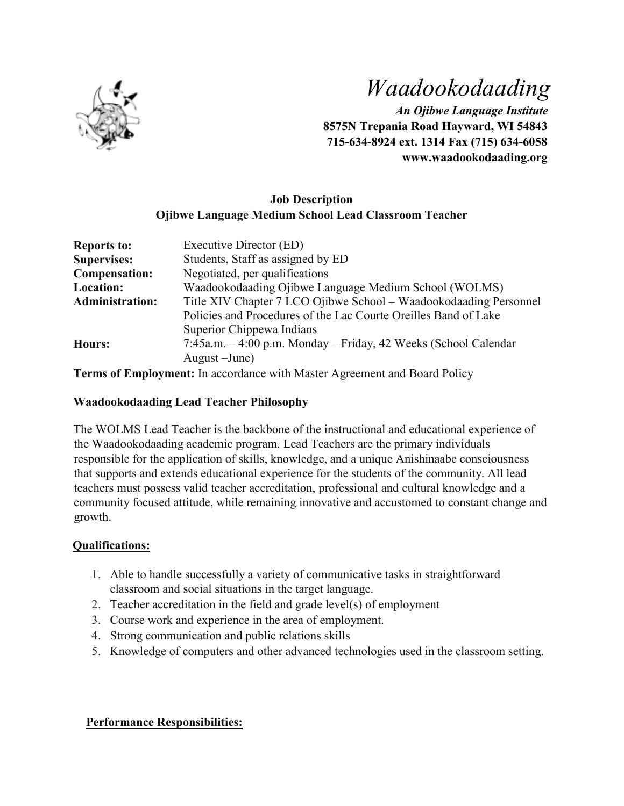

# *Waadookodaading*

*An Ojibwe Language Institute* **8575N Trepania Road Hayward, WI 54843 715-634-8924 ext. 1314 Fax (715) 634-6058 www.waadookodaading.org**

### **Job Description Ojibwe Language Medium School Lead Classroom Teacher**

| <b>Reports to:</b>     | Executive Director (ED)                                           |
|------------------------|-------------------------------------------------------------------|
| <b>Supervises:</b>     | Students, Staff as assigned by ED                                 |
| <b>Compensation:</b>   | Negotiated, per qualifications                                    |
| Location:              | Waadookodaading Ojibwe Language Medium School (WOLMS)             |
| <b>Administration:</b> | Title XIV Chapter 7 LCO Ojibwe School – Waadookodaading Personnel |
|                        | Policies and Procedures of the Lac Courte Oreilles Band of Lake   |
|                        | Superior Chippewa Indians                                         |
| Hours:                 | 7:45a.m. – 4:00 p.m. Monday – Friday, 42 Weeks (School Calendar   |
|                        | August – June)                                                    |
|                        |                                                                   |

**Terms of Employment:** In accordance with Master Agreement and Board Policy

#### **Waadookodaading Lead Teacher Philosophy**

The WOLMS Lead Teacher is the backbone of the instructional and educational experience of the Waadookodaading academic program. Lead Teachers are the primary individuals responsible for the application of skills, knowledge, and a unique Anishinaabe consciousness that supports and extends educational experience for the students of the community. All lead teachers must possess valid teacher accreditation, professional and cultural knowledge and a community focused attitude, while remaining innovative and accustomed to constant change and growth.

## **Qualifications:**

- 1. Able to handle successfully a variety of communicative tasks in straightforward classroom and social situations in the target language.
- 2. Teacher accreditation in the field and grade level(s) of employment
- 3. Course work and experience in the area of employment.
- 4. Strong communication and public relations skills
- 5. Knowledge of computers and other advanced technologies used in the classroom setting.

#### **Performance Responsibilities:**